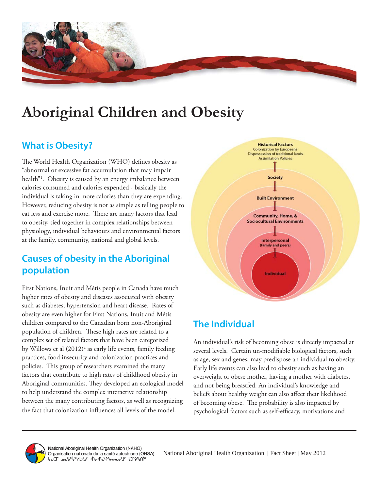

# **Aboriginal Children and Obesity**

# **What is Obesity?**

The World Health Organization (WHO) defines obesity as "abnormal or excessive fat accumulation that may impair health"1 . Obesity is caused by an energy imbalance between calories consumed and calories expended - basically the individual is taking in more calories than they are expending. However, reducing obesity is not as simple as telling people to eat less and exercise more. There are many factors that lead to obesity, tied together in complex relationships between physiology, individual behaviours and environmental factors at the family, community, national and global levels.

# **Causes of obesity in the Aboriginal population**

First Nations, Inuit and Métis people in Canada have much higher rates of obesity and diseases associated with obesity such as diabetes, hypertension and heart disease. Rates of obesity are even higher for First Nations, Inuit and Métis children compared to the Canadian born non-Aboriginal population of children. These high rates are related to a complex set of related factors that have been categorized by Willows et al (2012)<sup>2</sup> as early life events, family feeding practices, food insecurity and colonization practices and policies. This group of researchers examined the many factors that contribute to high rates of childhood obesity in Aboriginal communities. They developed an ecological model to help understand the complex interactive relationship between the many contributing factors, as well as recognizing the fact that colonization influences all levels of the model.



# **The Individual**

An individual's risk of becoming obese is directly impacted at several levels. Certain un-modifiable biological factors, such as age, sex and genes, may predispose an individual to obesity. Early life events can also lead to obesity such as having an overweight or obese mother, having a mother with diabetes, and not being breastfed. An individual's knowledge and beliefs about healthy weight can also affect their likelihood of becoming obese. The probability is also impacted by psychological factors such as self-efficacy, motivations and

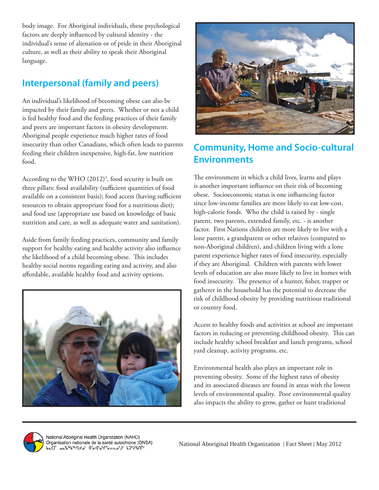body image. For Aboriginal individuals, these psychological factors are deeply influenced by cultural identity - the individual's sense of alienation or of pride in their Aboriginal culture, as well as their ability to speak their Aboriginal language.

### **Interpersonal (family and peers)**

An individual's likelihood of becoming obese can also be impacted by their family and peers. Whether or not a child is fed healthy food and the feeding practices of their family and peers are important factors in obesity development. Aboriginal people experience much higher rates of food insecurity than other Canadians, which often leads to parents feeding their children inexpensive, high-fat, low nutrition food.

According to the WHO (2012)<sup>3</sup>, food security is built on three pillars: food availability (sufficient quantities of food available on a consistent basis); food access (having sufficient resources to obtain appropriate food for a nutritious diet); and food use (appropriate use based on knowledge of basic nutrition and care, as well as adequate water and sanitation).

Aside from family feeding practices, community and family support for healthy eating and healthy activity also influence the likelihood of a child becoming obese. This includes healthy social norms regarding eating and activity, and also affordable, available healthy food and activity options.





# **Community, Home and Socio-cultural Environments**

The environment in which a child lives, learns and plays is another important influence on their risk of becoming obese. Socioeconomic status is one influencing factor since low-income families are more likely to eat low-cost, high-calorie foods. Who the child is raised by - single parent, two parents, extended family, etc. - is another factor. First Nations children are more likely to live with a lone parent, a grandparent or other relatives (compared to non-Aboriginal children), and children living with a lone parent experience higher rates of food insecurity, especially if they are Aboriginal. Children with parents with lower levels of education are also more likely to live in homes with food insecurity. The presence of a hunter, fisher, trapper or gatherer in the household has the potential to decrease the risk of childhood obesity by providing nutritious traditional or country food.

Access to healthy foods and activities at school are important factors in reducing or preventing childhood obesity. This can include healthy school breakfast and lunch programs, school yard cleanup, activity programs, etc.

Environmental health also plays an important role in preventing obesity. Some of the highest rates of obesity and its associated diseases are found in areas with the lowest levels of environmental quality. Poor environmental quality also impacts the ability to grow, gather or hunt traditional



National Aboriginal Health Organization (NAHO) Organisation nationale de la santé autochtone (ONSA)<br>baCl sa<sup>56%</sup><sup>%/LX</sup>s<sup>c</sup> d<sup>6</sup>σd<sup>6</sup>a<sup>0</sup>r<sup>3</sup>σcn.σ<sup>c</sup>l<sup>c</sup> b)<sup>2</sup>>%b<sup>66</sup>/lXs<sup>c</sup>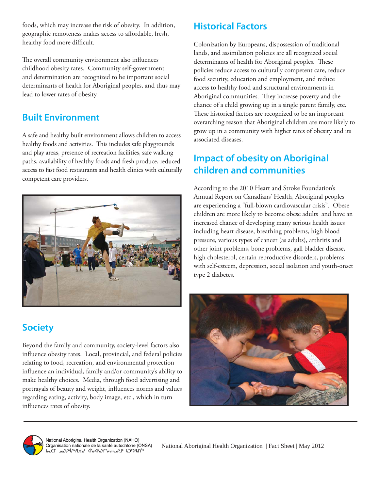foods, which may increase the risk of obesity. In addition, geographic remoteness makes access to affordable, fresh, healthy food more difficult.

The overall community environment also influences childhood obesity rates. Community self-government and determination are recognized to be important social determinants of health for Aboriginal peoples, and thus may lead to lower rates of obesity.

### **Built Environment**

A safe and healthy built environment allows children to access healthy foods and activities. This includes safe playgrounds and play areas, presence of recreation facilities, safe walking paths, availability of healthy foods and fresh produce, reduced access to fast food restaurants and health clinics with culturally competent care providers.



# **Society**

Beyond the family and community, society-level factors also influence obesity rates. Local, provincial, and federal policies relating to food, recreation, and environmental protection influence an individual, family and/or community's ability to make healthy choices. Media, through food advertising and portrayals of beauty and weight, influences norms and values regarding eating, activity, body image, etc., which in turn influences rates of obesity.

# **Historical Factors**

Colonization by Europeans, dispossession of traditional lands, and assimilation policies are all recognized social determinants of health for Aboriginal peoples. These policies reduce access to culturally competent care, reduce food security, education and employment, and reduce access to healthy food and structural environments in Aboriginal communities. They increase poverty and the chance of a child growing up in a single parent family, etc. These historical factors are recognized to be an important overarching reason that Aboriginal children are more likely to grow up in a community with higher rates of obesity and its associated diseases.

# **Impact of obesity on Aboriginal children and communities**

According to the 2010 Heart and Stroke Foundation's Annual Report on Canadians' Health, Aboriginal peoples are experiencing a "full-blown cardiovascular crisis". Obese children are more likely to become obese adults and have an increased chance of developing many serious health issues including heart disease, breathing problems, high blood pressure, various types of cancer (as adults), arthritis and other joint problems, bone problems, gall bladder disease, high cholesterol, certain reproductive disorders, problems with self-esteem, depression, social isolation and youth-onset type 2 diabetes.





National Aboriginal Health Organization (NAHO)<br>Organisation nationale de la santé autochtone (ONSA)<br>bฉCГ هشاه المشموعين هين المسموعين المسلمين المسموعين المسموعين المسموعين المسلمين المسلمين المسلمين المسلمين<br>كاروا المسل

National Aboriginal Health Organization | Fact Sheet | May 2012